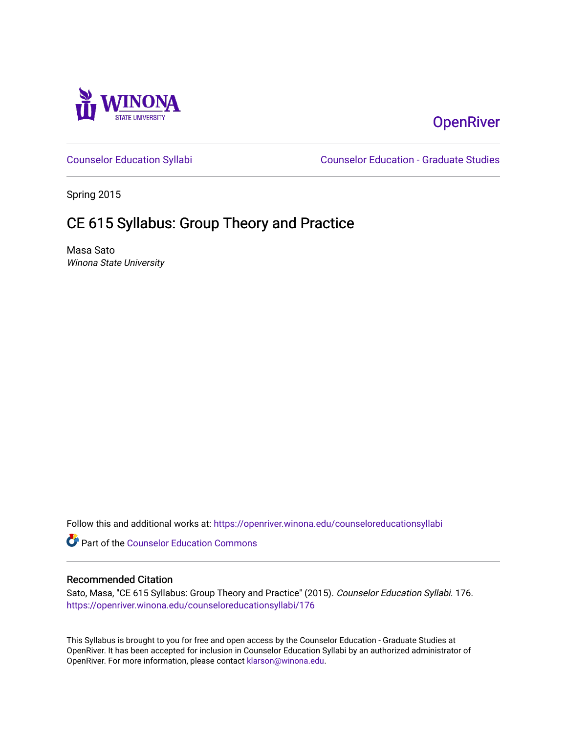

# **OpenRiver**

[Counselor Education Syllabi](https://openriver.winona.edu/counseloreducationsyllabi) [Counselor Education - Graduate Studies](https://openriver.winona.edu/counseloreducation) 

Spring 2015

# CE 615 Syllabus: Group Theory and Practice

Masa Sato Winona State University

Follow this and additional works at: [https://openriver.winona.edu/counseloreducationsyllabi](https://openriver.winona.edu/counseloreducationsyllabi?utm_source=openriver.winona.edu%2Fcounseloreducationsyllabi%2F176&utm_medium=PDF&utm_campaign=PDFCoverPages)

Part of the [Counselor Education Commons](http://network.bepress.com/hgg/discipline/1278?utm_source=openriver.winona.edu%2Fcounseloreducationsyllabi%2F176&utm_medium=PDF&utm_campaign=PDFCoverPages) 

## Recommended Citation

Sato, Masa, "CE 615 Syllabus: Group Theory and Practice" (2015). Counselor Education Syllabi. 176. [https://openriver.winona.edu/counseloreducationsyllabi/176](https://openriver.winona.edu/counseloreducationsyllabi/176?utm_source=openriver.winona.edu%2Fcounseloreducationsyllabi%2F176&utm_medium=PDF&utm_campaign=PDFCoverPages)

This Syllabus is brought to you for free and open access by the Counselor Education - Graduate Studies at OpenRiver. It has been accepted for inclusion in Counselor Education Syllabi by an authorized administrator of OpenRiver. For more information, please contact [klarson@winona.edu](mailto:klarson@winona.edu).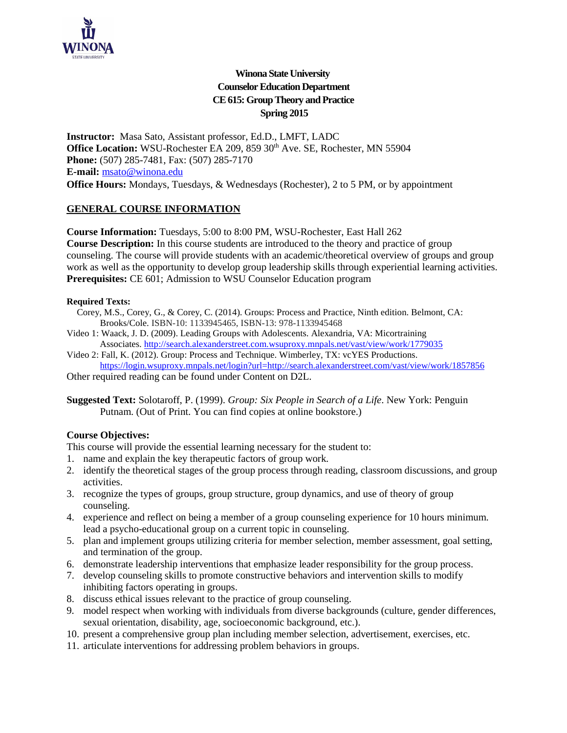

# **Winona State University Counselor Education Department CE 615: Group Theory and Practice Spring 2015**

**Instructor:** Masa Sato, Assistant professor, Ed.D., LMFT, LADC Office Location: WSU-Rochester EA 209, 859 30<sup>th</sup> Ave. SE, Rochester, MN 55904 **Phone:** (507) 285-7481, Fax: (507) 285-7170 **E-mail:** [msato@winona.edu](mailto:msato@winona.edu) **Office Hours:** Mondays, Tuesdays, & Wednesdays (Rochester), 2 to 5 PM, or by appointment

# **GENERAL COURSE INFORMATION**

**Course Information:** Tuesdays, 5:00 to 8:00 PM, WSU-Rochester, East Hall 262 **Course Description:** In this course students are introduced to the theory and practice of group counseling. The course will provide students with an academic/theoretical overview of groups and group work as well as the opportunity to develop group leadership skills through experiential learning activities. **Prerequisites:** CE 601; Admission to WSU Counselor Education program

#### **Required Texts:**

- Corey, M.S., Corey, G., & Corey, C. (2014). Groups: Process and Practice, Ninth edition. Belmont, CA: Brooks/Cole. ISBN-10: 1133945465, ISBN-13: 978-1133945468
- Video 1: Waack, J. D. (2009). Leading Groups with Adolescents. Alexandria, VA: Micortraining Associates. <http://search.alexanderstreet.com.wsuproxy.mnpals.net/vast/view/work/1779035>
- Video 2: Fall, K. (2012). Group: Process and Technique. Wimberley, TX: vcYES Productions. https://login.wsuproxy.mnpals.net/login?url=http://search.alexanderstreet.com/vast/view/work/1857856

Other required reading can be found under Content on D2L.

**Suggested Text:** Solotaroff, P. (1999). *Group: Six People in Search of a Life*. New York: Penguin Putnam. (Out of Print. You can find copies at online bookstore.)

# **Course Objectives:**

This course will provide the essential learning necessary for the student to:

- 1. name and explain the key therapeutic factors of group work.
- 2. identify the theoretical stages of the group process through reading, classroom discussions, and group activities.
- 3. recognize the types of groups, group structure, group dynamics, and use of theory of group counseling.
- 4. experience and reflect on being a member of a group counseling experience for 10 hours minimum. lead a psycho-educational group on a current topic in counseling.
- 5. plan and implement groups utilizing criteria for member selection, member assessment, goal setting, and termination of the group.
- 6. demonstrate leadership interventions that emphasize leader responsibility for the group process.
- 7. develop counseling skills to promote constructive behaviors and intervention skills to modify inhibiting factors operating in groups.
- 8. discuss ethical issues relevant to the practice of group counseling.
- 9. model respect when working with individuals from diverse backgrounds (culture, gender differences, sexual orientation, disability, age, socioeconomic background, etc.).
- 10. present a comprehensive group plan including member selection, advertisement, exercises, etc.
- 11. articulate interventions for addressing problem behaviors in groups.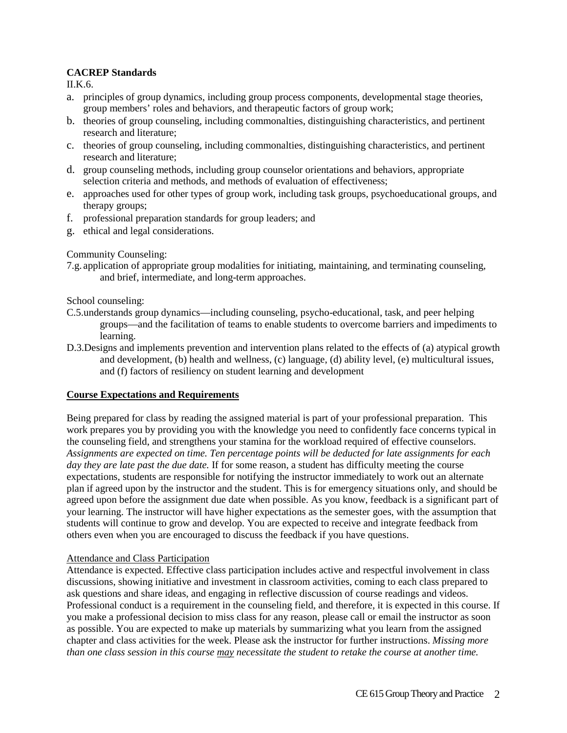# **CACREP Standards**

II.K.6.

- a. principles of group dynamics, including group process components, developmental stage theories, group members' roles and behaviors, and therapeutic factors of group work;
- b. theories of group counseling, including commonalties, distinguishing characteristics, and pertinent research and literature;
- c. theories of group counseling, including commonalties, distinguishing characteristics, and pertinent research and literature;
- d. group counseling methods, including group counselor orientations and behaviors, appropriate selection criteria and methods, and methods of evaluation of effectiveness;
- e. approaches used for other types of group work, including task groups, psychoeducational groups, and therapy groups;
- f. professional preparation standards for group leaders; and
- g. ethical and legal considerations.

## Community Counseling:

7.g. application of appropriate group modalities for initiating, maintaining, and terminating counseling, and brief, intermediate, and long-term approaches.

#### School counseling:

- C.5.understands group dynamics—including counseling, psycho-educational, task, and peer helping groups—and the facilitation of teams to enable students to overcome barriers and impediments to learning.
- D.3.Designs and implements prevention and intervention plans related to the effects of (a) atypical growth and development, (b) health and wellness, (c) language, (d) ability level, (e) multicultural issues, and (f) factors of resiliency on student learning and development

#### **Course Expectations and Requirements**

Being prepared for class by reading the assigned material is part of your professional preparation. This work prepares you by providing you with the knowledge you need to confidently face concerns typical in the counseling field, and strengthens your stamina for the workload required of effective counselors. *Assignments are expected on time. Ten percentage points will be deducted for late assignments for each day they are late past the due date.* If for some reason, a student has difficulty meeting the course expectations, students are responsible for notifying the instructor immediately to work out an alternate plan if agreed upon by the instructor and the student. This is for emergency situations only, and should be agreed upon before the assignment due date when possible. As you know, feedback is a significant part of your learning. The instructor will have higher expectations as the semester goes, with the assumption that students will continue to grow and develop. You are expected to receive and integrate feedback from others even when you are encouraged to discuss the feedback if you have questions.

#### Attendance and Class Participation

Attendance is expected. Effective class participation includes active and respectful involvement in class discussions, showing initiative and investment in classroom activities, coming to each class prepared to ask questions and share ideas, and engaging in reflective discussion of course readings and videos. Professional conduct is a requirement in the counseling field, and therefore, it is expected in this course. If you make a professional decision to miss class for any reason, please call or email the instructor as soon as possible. You are expected to make up materials by summarizing what you learn from the assigned chapter and class activities for the week. Please ask the instructor for further instructions. *Missing more than one class session in this course may necessitate the student to retake the course at another time.*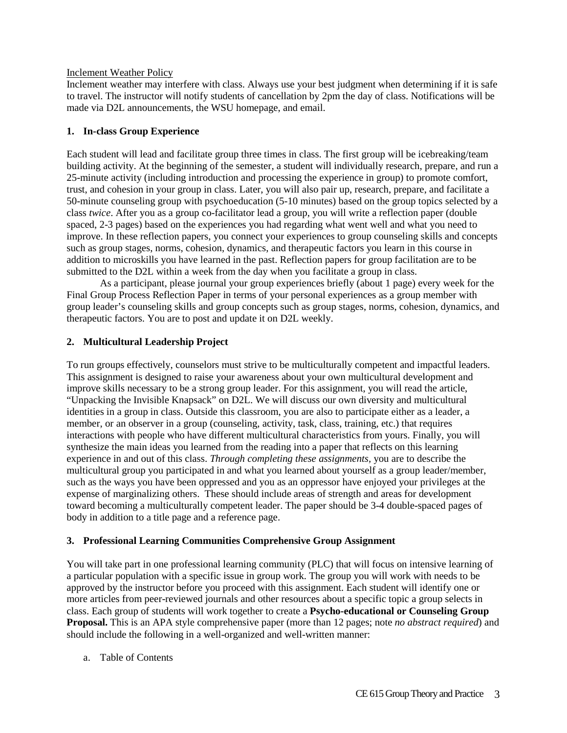#### Inclement Weather Policy

Inclement weather may interfere with class. Always use your best judgment when determining if it is safe to travel. The instructor will notify students of cancellation by 2pm the day of class. Notifications will be made via D2L announcements, the WSU homepage, and email.

# **1. In-class Group Experience**

Each student will lead and facilitate group three times in class. The first group will be icebreaking/team building activity. At the beginning of the semester, a student will individually research, prepare, and run a 25-minute activity (including introduction and processing the experience in group) to promote comfort, trust, and cohesion in your group in class. Later, you will also pair up, research, prepare, and facilitate a 50-minute counseling group with psychoeducation (5-10 minutes) based on the group topics selected by a class *twice*. After you as a group co-facilitator lead a group, you will write a reflection paper (double spaced, 2-3 pages) based on the experiences you had regarding what went well and what you need to improve. In these reflection papers, you connect your experiences to group counseling skills and concepts such as group stages, norms, cohesion, dynamics, and therapeutic factors you learn in this course in addition to microskills you have learned in the past. Reflection papers for group facilitation are to be submitted to the D2L within a week from the day when you facilitate a group in class.

As a participant, please journal your group experiences briefly (about 1 page) every week for the Final Group Process Reflection Paper in terms of your personal experiences as a group member with group leader's counseling skills and group concepts such as group stages, norms, cohesion, dynamics, and therapeutic factors. You are to post and update it on D2L weekly.

# **2. Multicultural Leadership Project**

To run groups effectively, counselors must strive to be multiculturally competent and impactful leaders. This assignment is designed to raise your awareness about your own multicultural development and improve skills necessary to be a strong group leader. For this assignment, you will read the article, "Unpacking the Invisible Knapsack" on D2L. We will discuss our own diversity and multicultural identities in a group in class. Outside this classroom, you are also to participate either as a leader, a member, or an observer in a group (counseling, activity, task, class, training, etc.) that requires interactions with people who have different multicultural characteristics from yours. Finally, you will synthesize the main ideas you learned from the reading into a paper that reflects on this learning experience in and out of this class. *Through completing these assignments,* you are to describe the multicultural group you participated in and what you learned about yourself as a group leader/member, such as the ways you have been oppressed and you as an oppressor have enjoyed your privileges at the expense of marginalizing others. These should include areas of strength and areas for development toward becoming a multiculturally competent leader. The paper should be 3-4 double-spaced pages of body in addition to a title page and a reference page.

# **3. Professional Learning Communities Comprehensive Group Assignment**

You will take part in one professional learning community (PLC) that will focus on intensive learning of a particular population with a specific issue in group work. The group you will work with needs to be approved by the instructor before you proceed with this assignment. Each student will identify one or more articles from peer-reviewed journals and other resources about a specific topic a group selects in class. Each group of students will work together to create a **Psycho-educational or Counseling Group Proposal.** This is an APA style comprehensive paper (more than 12 pages; note *no abstract required*) and should include the following in a well-organized and well-written manner:

a. Table of Contents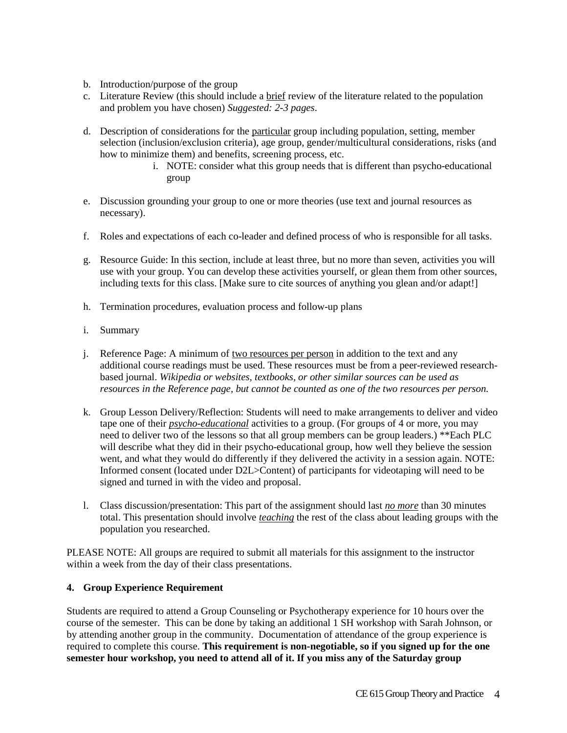- b. Introduction/purpose of the group
- c. Literature Review (this should include a brief review of the literature related to the population and problem you have chosen) *Suggested: 2-3 pages*.
- d. Description of considerations for the particular group including population, setting, member selection (inclusion/exclusion criteria), age group, gender/multicultural considerations, risks (and how to minimize them) and benefits, screening process, etc.
	- i. NOTE: consider what this group needs that is different than psycho-educational group
- e. Discussion grounding your group to one or more theories (use text and journal resources as necessary).
- f. Roles and expectations of each co-leader and defined process of who is responsible for all tasks.
- g. Resource Guide: In this section, include at least three, but no more than seven, activities you will use with your group. You can develop these activities yourself, or glean them from other sources, including texts for this class. [Make sure to cite sources of anything you glean and/or adapt!]
- h. Termination procedures, evaluation process and follow-up plans
- i. Summary
- j. Reference Page: A minimum of two resources per person in addition to the text and any additional course readings must be used. These resources must be from a peer-reviewed researchbased journal. *Wikipedia or websites, textbooks, or other similar sources can be used as resources in the Reference page, but cannot be counted as one of the two resources per person.*
- k. Group Lesson Delivery/Reflection: Students will need to make arrangements to deliver and video tape one of their *psycho-educational* activities to a group. (For groups of 4 or more, you may need to deliver two of the lessons so that all group members can be group leaders.) \*\*Each PLC will describe what they did in their psycho-educational group, how well they believe the session went, and what they would do differently if they delivered the activity in a session again. NOTE: Informed consent (located under D2L>Content) of participants for videotaping will need to be signed and turned in with the video and proposal.
- l. Class discussion/presentation: This part of the assignment should last *no more* than 30 minutes total. This presentation should involve *teaching* the rest of the class about leading groups with the population you researched.

PLEASE NOTE: All groups are required to submit all materials for this assignment to the instructor within a week from the day of their class presentations.

#### **4. Group Experience Requirement**

Students are required to attend a Group Counseling or Psychotherapy experience for 10 hours over the course of the semester. This can be done by taking an additional 1 SH workshop with Sarah Johnson, or by attending another group in the community. Documentation of attendance of the group experience is required to complete this course. **This requirement is non-negotiable, so if you signed up for the one semester hour workshop, you need to attend all of it. If you miss any of the Saturday group**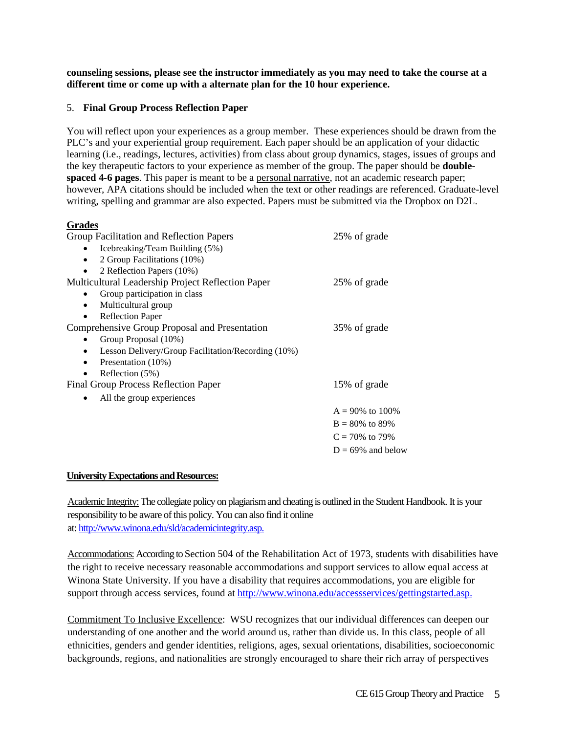**counseling sessions, please see the instructor immediately as you may need to take the course at a different time or come up with a alternate plan for the 10 hour experience.** 

#### 5. **Final Group Process Reflection Paper**

You will reflect upon your experiences as a group member. These experiences should be drawn from the PLC's and your experiential group requirement. Each paper should be an application of your didactic learning (i.e., readings, lectures, activities) from class about group dynamics, stages, issues of groups and the key therapeutic factors to your experience as member of the group. The paper should be **doublespaced 4-6 pages**. This paper is meant to be a personal narrative, not an academic research paper; however, APA citations should be included when the text or other readings are referenced. Graduate-level writing, spelling and grammar are also expected. Papers must be submitted via the Dropbox on D2L.

# **Grades**

| uraucs                                                          |                      |
|-----------------------------------------------------------------|----------------------|
| Group Facilitation and Reflection Papers                        | 25% of grade         |
| Icebreaking/Team Building (5%)                                  |                      |
| 2 Group Facilitations (10%)<br>$\bullet$                        |                      |
| 2 Reflection Papers (10%)<br>٠                                  |                      |
| Multicultural Leadership Project Reflection Paper               | 25% of grade         |
| Group participation in class                                    |                      |
| Multicultural group<br>$\bullet$                                |                      |
| <b>Reflection Paper</b><br>٠                                    |                      |
| Comprehensive Group Proposal and Presentation                   | 35% of grade         |
| Group Proposal (10%)                                            |                      |
| Lesson Delivery/Group Facilitation/Recording (10%)<br>$\bullet$ |                      |
| Presentation (10%)<br>٠                                         |                      |
| Reflection (5%)<br>٠                                            |                      |
| Final Group Process Reflection Paper                            | 15% of grade         |
| All the group experiences                                       |                      |
|                                                                 | $A = 90\%$ to 100%   |
|                                                                 | $B = 80\%$ to 89%    |
|                                                                 | $C = 70\%$ to 79%    |
|                                                                 | $D = 69\%$ and below |

#### **University Expectations and Resources:**

Academic Integrity:The collegiate policy on plagiarism and cheating is outlined in the Student Handbook. It is your responsibility to be aware of this policy. You can also find it online at[: http://www.winona.edu/sld/academicintegrity.asp.](http://www.winona.edu/sld/academicintegrity.asp)

Accommodations: According to Section 504 of the Rehabilitation Act of 1973, students with disabilities have the right to receive necessary reasonable accommodations and support services to allow equal access at Winona State University. If you have a disability that requires accommodations, you are eligible for support through access services, found at [http://www.winona.edu/accessservices/gettingstarted.asp.](http://www.winona.edu/accessservices/gettingstarted.asp)

Commitment To Inclusive Excellence: WSU recognizes that our individual differences can deepen our understanding of one another and the world around us, rather than divide us. In this class, people of all ethnicities, genders and gender identities, religions, ages, sexual orientations, disabilities, socioeconomic backgrounds, regions, and nationalities are strongly encouraged to share their rich array of perspectives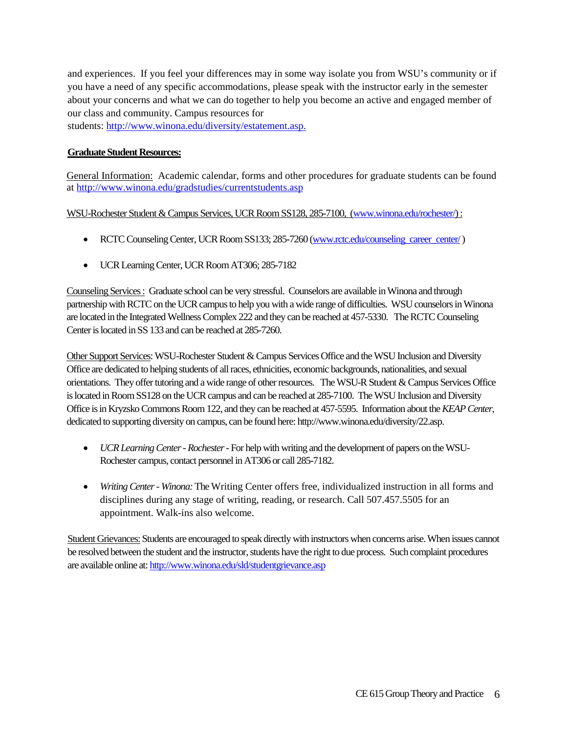and experiences. If you feel your differences may in some way isolate you from WSU's community or if you have a need of any specific accommodations, please speak with the instructor early in the semester about your concerns and what we can do together to help you become an active and engaged member of our class and community. Campus resources for students: [http://www.winona.edu/diversity/estatement.asp.](http://www.winona.edu/diversity/estatement.asp)

## **Graduate Student Resources:**

General Information: Academic calendar, forms and other procedures for graduate students can be found at<http://www.winona.edu/gradstudies/currentstudents.asp>

WSU-Rochester Student & Campus Services, UCR Room SS128, 285-7100, [\(www.winona.edu/rochester/\)](http://www.winona.edu/rochester/) :

- RCTC Counseling Center, UCR Room SS133; 285-7260 [\(www.rctc.edu/counseling\\_career\\_center/](http://www.rctc.edu/counseling_career_center/))
- UCR Learning Center, UCR Room AT306; 285-7182

Counseling Services : Graduate school can be very stressful. Counselors are available in Winona and through partnership with RCTC on the UCR campus to help you with a wide range of difficulties. WSU counselors in Winona are located in the Integrated Wellness Complex 222 and they can be reached at 457-5330. The RCTC Counseling Center is located in SS 133 and can be reached at 285-7260.

Other Support Services: WSU-Rochester Student & Campus Services Office and the WSU Inclusion and Diversity Office are dedicated to helping students of all races, ethnicities, economic backgrounds, nationalities, and sexual orientations. They offer tutoring and a wide range of other resources. The WSU-R Student & Campus Services Office is located in Room SS128 on the UCR campus and can be reached at 285-7100. The WSU Inclusion and Diversity Office is in Kryzsko Commons Room 122, and they can be reached at 457-5595. Information about the *KEAP Center*, dedicated to supporting diversity on campus, can be found here: http://www.winona.edu/diversity/22.asp.

- *UCR Learning Center - Rochester*-For help with writing and the development of papers on the WSU-Rochester campus, contact personnel in AT306 or call 285-7182.
- *Writing Center - Winona:*The Writing Center offers free, individualized instruction in all forms and disciplines during any stage of writing, reading, or research. Call 507.457.5505 for an appointment. Walk-ins also welcome.

Student Grievances: Students are encouraged to speak directly with instructors when concerns arise. When issues cannot be resolved between the student and the instructor, students have the right to due process. Such complaint procedures are available online at[: http://www.winona.edu/sld/studentgrievance.asp](http://www.winona.edu/sld/studentgrievance.asp)